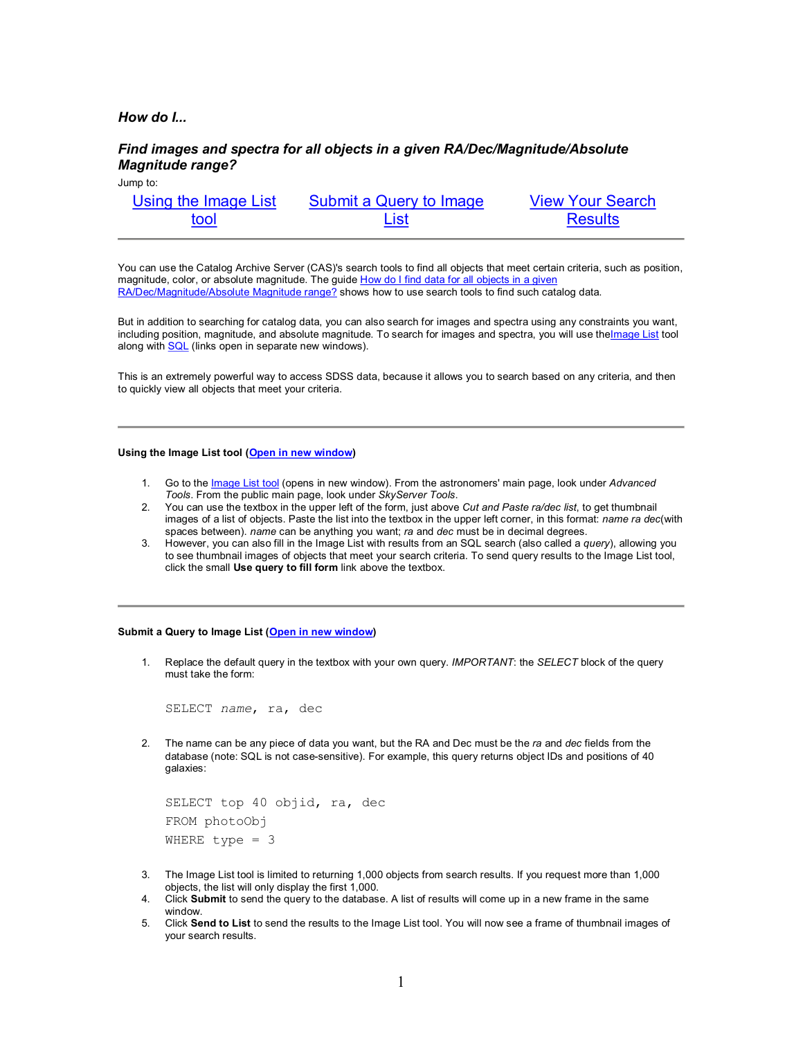# *How do I...*

# *Find images and spectra for all objects in a given RA/Dec/Magnitude/Absolute Magnitude range?*

| Jump to: |  |
|----------|--|
|          |  |

| Using the Image List | Submit a Query to Image | <b>View Your Search</b> |
|----------------------|-------------------------|-------------------------|
| tool                 | List                    | <b>Results</b>          |

You can use the Catalog Archive Server (CAS)'s search tools to find all objects that meet certain criteria, such as position, magnitude, color, or absolute magnitude. The guide How do I find data for all objects in a given RA/Dec/Magnitude/Absolute Magnitude range? shows how to use search tools to find such catalog data.

But in addition to searching for catalog data, you can also search for images and spectra using any constraints you want, including position, magnitude, and absolute magnitude. To search for images and spectra, you will use the Image List tool along with SQL (links open in separate new windows).

This is an extremely powerful way to access SDSS data, because it allows you to search based on any criteria, and then to quickly view all objects that meet your criteria.

### **Using the Image List tool (Open in new window)**

- 1. Go to the Image List tool (opens in new window). From the astronomers' main page, look under *Advanced Tools*. From the public main page, look under *SkyServer Tools*.
- 2. You can use the textbox in the upper left of the form, just above *Cut and Paste ra/dec list*, to get thumbnail images of a list of objects. Paste the list into the textbox in the upper left corner, in this format: *name ra dec*(with spaces between). *name* can be anything you want; *ra* and *dec* must be in decimal degrees.
- 3. However, you can also fill in the Image List with results from an SQL search (also called a *query*), allowing you to see thumbnail images of objects that meet your search criteria. To send query results to the Image List tool, click the small **Use query to fill form** link above the textbox.

#### **Submit a Query to Image List (Open in new window)**

1. Replace the default query in the textbox with your own query. *IMPORTANT*: the *SELECT* block of the query must take the form:

SELECT *name*, ra, dec

2. The name can be any piece of data you want, but the RA and Dec must be the *ra* and *dec* fields from the database (note: SQL is not case-sensitive). For example, this query returns object IDs and positions of 40 galaxies:

```
SELECT top 40 objid, ra, dec
FROM photoObj 
WHERE type = 3
```
- 3. The Image List tool is limited to returning 1,000 objects from search results. If you request more than 1,000 objects, the list will only display the first 1,000.
- 4. Click **Submit** to send the query to the database. A list of results will come up in a new frame in the same window.
- 5. Click **Send to List** to send the results to the Image List tool. You will now see a frame of thumbnail images of your search results.